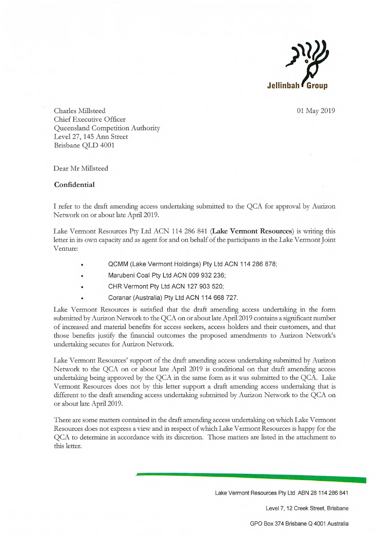

01 May 2019

Charles Millsteed Chief Executive Officer Queensland Competition Authority Level 27, 145 Ann Street Brisbane QLD 4001

Dear Mr Millsteed

## Confidential

I refer to the draft amending access undertaking submitted to the QCA for approval by Aurizon Network on or about late April 2019.

Lake Vermont Resources Pty Ltd ACN 114 286 841 (Lake Vermont Resources) is writing this letter in its own capacity and as agent for and on behalf of the participants in the Lake Vermont Joint Venture:

- QCMM (Lake Vermont Holdings) Pty Ltd ACN 114 286 878;
- Marubeni Coal Pty Ltd ACN 009 932 236;
- CHR Vermont Pty Ltd ACN 127 903 520;
- Coranar (Australia) Pty Ltd ACN 114 668 727.

Lake Vermont Resources is satisfied that the draft amending access undertaking in the form submitted by Aurizon Network to the QCA on or about late April 2019 contains a significant number of increased and material benefits for access seekers, access holders and their customers, and that those benefits justify the financial outcomes the proposed amendments to Aurizon Network's undertaking secures for Aurizon Network.

Lake Vermont Resources' support of the draft amending access undertaking submitted by Aurizon Network to the QCA on or about late April 2019 is conditional on that draft amending access undertaking being approved by the QCA in the same form as it was submitted to the QCA. Lake Vermont Resources does not by this letter support a draft amending access undertaking that is different to the draft amending access undertaking submitted by Aurizon Network to the QCA on or about late April 2019.

There are some matters contained in the draft amending access undertaking on which Lake Vermont Resources does not express a view and in respect of which Lake Vermont Resources is happy for the QCA to determine in accordance with its discretion. Those matters are listed in the attachment to this letter.

Lake Vermont Resources Pty Ltd ABN 28 114 286 841

Level 7, 12 Creek Street, Brisbane

GPO Box 374 Brisbane Q 4001 Australia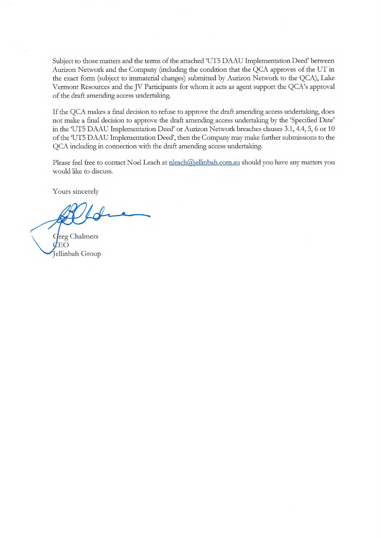Subject to those matters and the terms of the attached 'UT5 DAAU Implementation Deed' between Aurizon Network and the Company (including the condition that the QCA approves of the UT in the exact form (subject to immaterial changes) submitted by Aurizon Network to the QCA), Lake Vermont Resources and the JV Participants for whom it acts as agent support the QCA's approval of the draft amending access undertaking.

If the QCA makes a final decision to refuse to approve the draft amending access undertaking, does not make a final decision to approve the draft amending access undertaking by the 'Specified Date' in the 'UT5 DAAU Implementation Deed' or Aurizon Network breaches clauses 3.1, 4.4, 5, 6 or 10 of the `UT5 DAAU Implementation Deed', then the Company may make further submissions to the QCA including in connection with the draft amending access undertaking.

Please feel free to contact Noel Leach at  $\frac{n\text{leach}(\hat{a})\text{ellinbah.com.au}}{n\text{th}}$  should you have any matters you would like to discuss.

Yours sincerely

reg Chalmers EO ellinbah Group